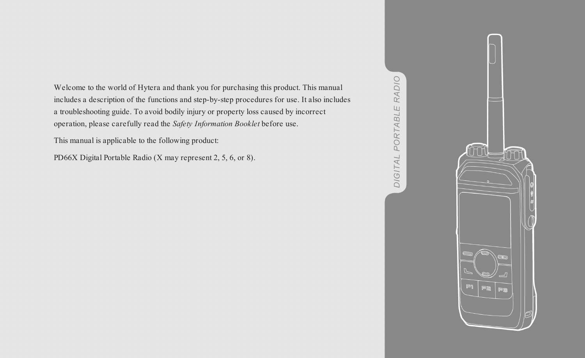Welcome to the world of Hytera and thank you for purchasing this product. This manual includes a description of the functions and step-by-step procedures for use. It also includes a troubleshooting guide. To avoid bodily injury or property loss caused by incorrect operation, please carefully read the *Safety Information Booklet* before use.

This manual is applicable to the following product:

PD66X Digital Portable Radio (X may represent 2, 5, 6, or 8).



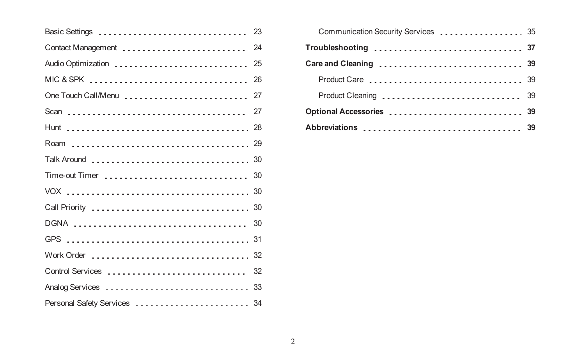| Basic Settings               | 23 |
|------------------------------|----|
| Contact Management           | 24 |
| Audio Optimization           | 25 |
| MIC & SPK                    | 26 |
| One Touch Call/Menu<br>27    |    |
|                              | 27 |
|                              |    |
|                              |    |
|                              |    |
| Time-out Timer               | 30 |
|                              |    |
|                              |    |
| DGNA                         | 30 |
|                              | 31 |
| Work Order  32               |    |
| Control Services             | 32 |
|                              |    |
| Personal Safety Services  34 |    |

| Communication Security Services  35 |  |
|-------------------------------------|--|
| Troubleshooting  37                 |  |
|                                     |  |
|                                     |  |
|                                     |  |
|                                     |  |
| Abbreviations  39                   |  |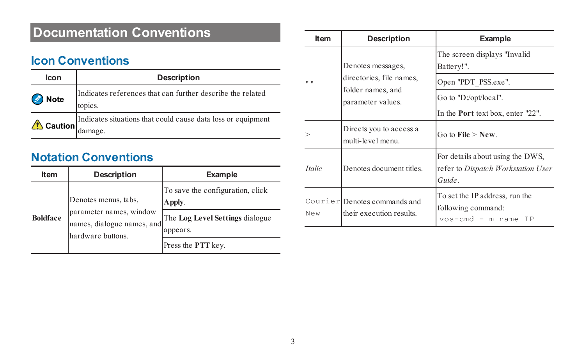# **Documentation Conventions**

## **Icon Conventions**

| Icon                  | Description                                                             |  |
|-----------------------|-------------------------------------------------------------------------|--|
| $\mathscr{L}$<br>Note | Indicates references that can further describe the related<br>topics.   |  |
| $\triangle$ Caution   | Indicates situations that could cause data loss or equipment<br>damage. |  |

# **Notation Conventions**

| Item            | Description                                                                                        | Example                                                                                                         |
|-----------------|----------------------------------------------------------------------------------------------------|-----------------------------------------------------------------------------------------------------------------|
| <b>Boldface</b> | Denotes menus, tabs,<br>parameter names, window<br>names, dialogue names, and<br>hardware buttons. | To save the configuration, click<br>Apply.<br>The Log Level Settings dialogue<br>appears.<br>Press the PTT key. |

| Item          | Description                                              | Example                                                                         |
|---------------|----------------------------------------------------------|---------------------------------------------------------------------------------|
| . .           | Denotes messages,<br>directories, file names,            | The screen displays "Invalid"<br>Battery!".                                     |
|               |                                                          | Open "PDT PSS.exe".                                                             |
|               | folder names, and<br>parameter values.                   | Go to "D:/opt/local".                                                           |
|               |                                                          | In the <b>Port</b> text box, enter "22".                                        |
|               | Directs you to access a<br>multi-level menu.             | Go to File $>$ New.                                                             |
| <i>Italic</i> | Denotes document titles                                  | For details about using the DWS.<br>refer to Dispatch Workstation User<br>Guide |
| New           | Courier Denotes commands and<br>their execution results. | To set the IP address, run the<br>following command:<br>$vos-cmd - m$ name IP   |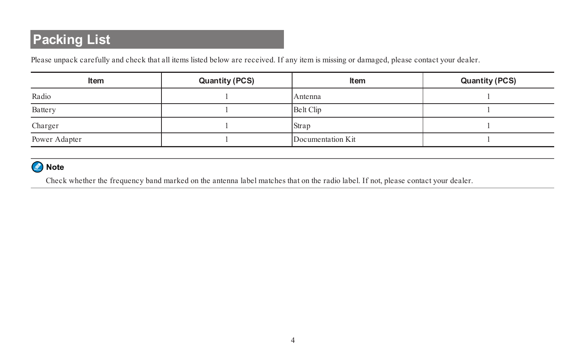# **Packing List**

Please unpack carefully and check that all items listed below are received. If any item is missing or damaged, please contact your dealer.

| Item          | Quantity (PCS) | Item              | Quantity (PCS) |
|---------------|----------------|-------------------|----------------|
| Radio         |                | Antenna           |                |
| Battery       |                | Belt Clip         |                |
| Charger       |                | Strap             |                |
| Power Adapter |                | Documentation Kit |                |

#### Note

Check whether the frequency band marked on the antenna label matches that on the radio label. If not, please contact your dealer.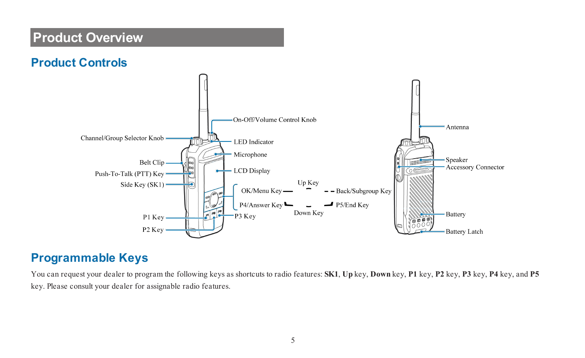# **Product Overview**





### **Programmable Keys**

You can request your dealer to program the following keys as shortcuts to radio features: **SK1**, **Up** key, **Down** key, **P1** key, **P2** key, **P3** key, **P4** key, and **P5** key. Please consult your dealer for assignable radio features.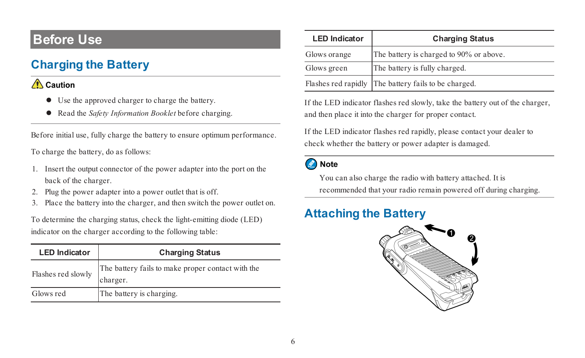# **Before Use**

# **Charging the Battery**

#### Caution

- $\bullet$  Use the approved charger to charge the battery.
- l Read the *Safety Information Booklet* before charging.

Before initial use, fully charge the battery to ensure optimum performance.

To charge the battery, do as follows:

- 1. Insert the output connector of the power adapter into the port on the back of the charger.
- 2. Plug the power adapter into a power outlet that is off.
- 3. Place the battery into the charger, and then switch the power outlet on.

To determine the charging status, check the light-emitting diode (LED) indicator on the charger according to the following table:

| <b>LED</b> Indicator | <b>Charging Status</b>                                        |
|----------------------|---------------------------------------------------------------|
| Flashes red slowly   | The battery fails to make proper contact with the<br>charger. |
| Glows red            | The battery is charging.                                      |

| <b>LED</b> Indicator | <b>Charging Status</b>                               |
|----------------------|------------------------------------------------------|
| Glows orange         | The battery is charged to 90% or above.              |
| Glows green          | The battery is fully charged.                        |
|                      | Flashes red rapidly The battery fails to be charged. |

If the LED indicator flashes red slowly, take the battery out of the charger, and then place it into the charger for proper contact.

If the LED indicator flashes red rapidly, please contact your dealer to check whether the battery or power adapter is damaged.

#### Note

You can also charge the radio with battery attached. It is recommended that your radio remain powered off during charging.

# **Attaching the Battery**

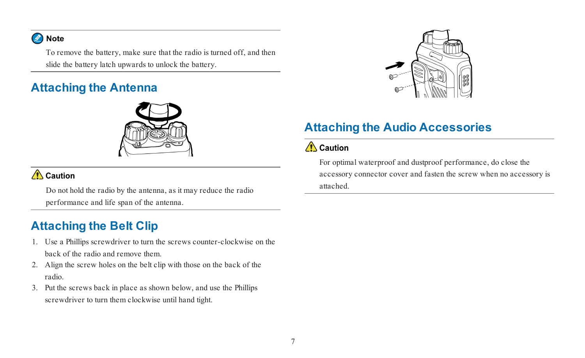#### Note

To remove the battery, make sure that the radio is turned off, and then slide the battery latch upwards to unlock the battery.

# **Attaching the Antenna**



#### Caution

Do not hold the radio by the antenna, as it may reduce the radio performance and life span of the antenna.

# **Attaching the Belt Clip**

- 1. Use a Phillips screwdriver to turn the screws counter-clockwise on the back of the radio and remove them.
- 2. Align the screw holes on the belt clip with those on the back of the radio.
- 3. Put the screws back in place as shown below, and use the Phillips screwdriver to turn them clockwise until hand tight.



# **Attaching the Audio Accessories**

#### $\bigwedge$  Caution

For optimal waterproof and dustproof performance, do close the accessory connector cover and fasten the screw when no accessory is attached.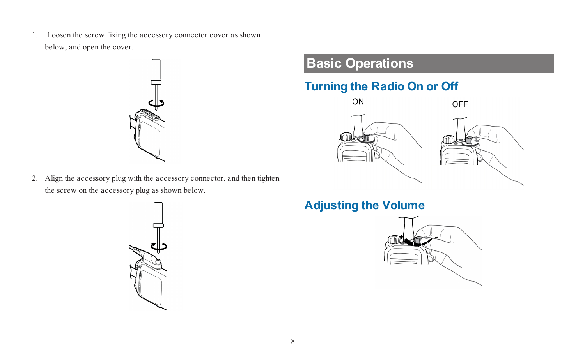1. Loosen the screw fixing the accessory connector cover as shown below, and open the cover.



2. Align the accessory plug with the accessory connector, and then tighten the screw on the accessory plug as shown below.



# **Basic Operations**

# **Turning the Radio On or Off**



**Adjusting the Volume**

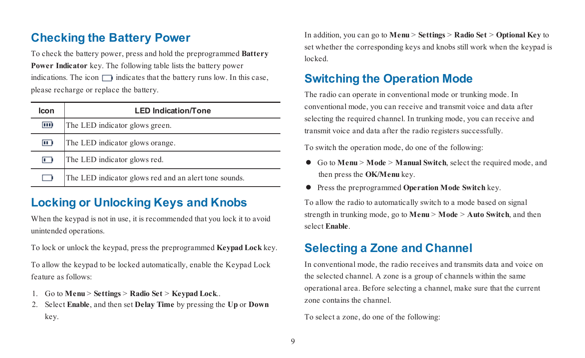# **Checking the Battery Power**

To check the battery power, press and hold the preprogrammed **Battery Power Indicator** key. The following table lists the battery power indications. The icon  $\Box$  indicates that the battery runs low. In this case, please recharge or replace the battery.

| Icon           | <b>LED Indication/Tone</b>                            |
|----------------|-------------------------------------------------------|
| $\overline{m}$ | The LED indicator glows green.                        |
| $\Box$         | The LED indicator glows orange.                       |
| m              | The LED indicator glows red.                          |
| . .            | The LED indicator glows red and an alert tone sounds. |

## **Locking or Unlocking Keys and Knobs**

When the keypad is not in use, it is recommended that you lock it to avoid unintended operations.

To lock or unlock the keypad, press the preprogrammed **Keypad Lock** key.

To allow the keypad to be locked automatically, enable the Keypad Lock feature as follows:

- 1. Go to **Menu** > **Settings** > **Radio Set** > **Keypad Lock**..
- 2. Select **Enable**, and then set **Delay Time** by pressing the **Up** or **Down** key.

In addition, you can go to **Menu** > **Settings** > **Radio Set** > **Optional Key** to set whether the corresponding keys and knobs still work when the keypad is locked.

## **Switching the Operation Mode**

The radio can operate in conventional mode or trunking mode. In conventional mode, you can receive and transmit voice and data after selecting the required channel. In trunking mode, you can receive and transmit voice and data after the radio registers successfully.

To switch the operation mode, do one of the following:

- l Go to **Menu** > **Mode** > **Manual Switch**, select the required mode, and then press the **OK/Menu** key.
- l Press the preprogrammed **Operation Mode Switch** key.

To allow the radio to automatically switch to a mode based on signal strength in trunking mode, go to **Menu** > **Mode** > **Auto Switch**, and then select **Enable**.

### **Selecting a Zone and Channel**

In conventional mode, the radio receives and transmits data and voice on the selected channel. A zone is a group of channels within the same operational area. Before selecting a channel, make sure that the current zone contains the channel.

To select a zone, do one of the following: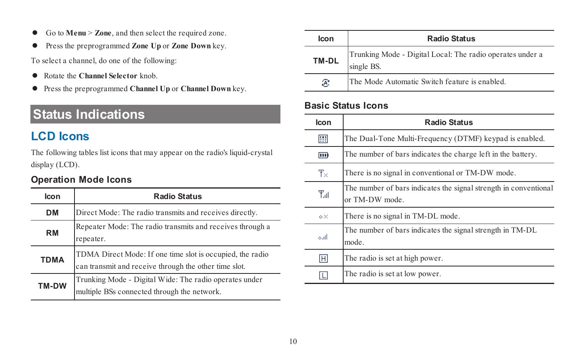- l Go to **Menu** > **Zone**, and then select the required zone.
- l Press the preprogrammed **Zone Up** or **Zone Down** key.

To select a channel, do one of the following:

- **•** Rotate the **Channel Selector** knob.
- l Press the preprogrammed **Channel Up** or **Channel Down** key.

# **Status Indications**

# **LCD Icons**

The following tables list icons that may appear on the radio's liquid-crystal display (LCD).

#### **Operation Mode Icons**

| Icon        | <b>Radio Status</b>                                                                                                |
|-------------|--------------------------------------------------------------------------------------------------------------------|
| <b>DM</b>   | Direct Mode: The radio transmits and receives directly.                                                            |
| <b>RM</b>   | Repeater Mode: The radio transmits and receives through a<br>repeater.                                             |
| <b>TDMA</b> | TDMA Direct Mode: If one time slot is occupied, the radio<br>can transmit and receive through the other time slot. |
| TM-DW       | Trunking Mode - Digital Wide: The radio operates under<br>multiple BSs connected through the network.              |

| Icon  | <b>Radio Status</b>                                                     |
|-------|-------------------------------------------------------------------------|
| TM-DL | Trunking Mode - Digital Local: The radio operates under a<br>single BS. |
| R,    | The Mode Automatic Switch feature is enabled.                           |

#### **Basic Status Icons**

| Icon         | <b>Radio Status</b>                                                                |
|--------------|------------------------------------------------------------------------------------|
| 龗            | The Dual-Tone Multi-Frequency (DTMF) keypad is enabled.                            |
| $\mathbf{m}$ | The number of bars indicates the charge left in the battery.                       |
| $T_{\times}$ | There is no signal in conventional or TM-DW mode.                                  |
| T.il         | The number of bars indicates the signal strength in conventional<br>or TM-DW mode. |
| o×.          | There is no signal in TM-DL mode.                                                  |
| أانتم        | The number of bars indicates the signal strength in TM-DL<br>mode.                 |
| 囲            | The radio is set at high power.                                                    |
| π            | The radio is set at low power.                                                     |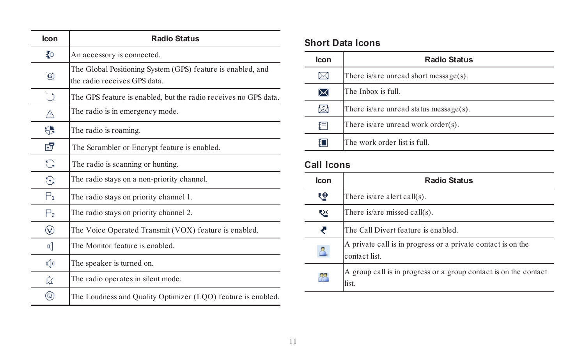| <b>Icon</b>    | <b>Radio Status</b>                                                                        |
|----------------|--------------------------------------------------------------------------------------------|
| ₹о             | An accessory is connected.                                                                 |
| ٥              | The Global Positioning System (GPS) feature is enabled, and<br>the radio receives GPS data |
| υ              | The GPS feature is enabled, but the radio receives no GPS data.                            |
| Δ              | The radio is in emergency mode.                                                            |
| 8              | The radio is roaming.                                                                      |
| EV.            | The Scrambler or Encrypt feature is enabled.                                               |
| G              | The radio is scanning or hunting.                                                          |
| G              | The radio stays on a non-priority channel.                                                 |
| Pı.            | The radio stays on priority channel 1.                                                     |
| $\mathsf{P}_2$ | The radio stays on priority channel 2.                                                     |
| ⊛              | The Voice Operated Transmit (VOX) feature is enabled.                                      |
| 吲              | The Monitor feature is enabled                                                             |
| €              | The speaker is turned on.                                                                  |
| Ωï             | The radio operates in silent mode.                                                         |
| ⊚              | The Loudness and Quality Optimizer (LQO) feature is enabled.                               |

#### **Short Data Icons**

| Icon | <b>Radio Status</b>                    |
|------|----------------------------------------|
| ⊠    | There is/are unread short message(s).  |
| ⋈    | The Inbox is full.                     |
| ▨    | There is/are unread status message(s). |
| 扫    | There is/are unread work order(s).     |
| iΠ   | The work order list is full            |

# **Call Icons**

| Icon         | <b>Radio Status</b>                                                          |
|--------------|------------------------------------------------------------------------------|
| હ            | There is/are alert call $(s)$ .                                              |
| ∾            | There is/are missed call(s).                                                 |
| ₹            | The Call Divert feature is enabled.                                          |
| $\mathbb{R}$ | A private call is in progress or a private contact is on the<br>contact list |
| 83           | A group call is in progress or a group contact is on the contact<br>list.    |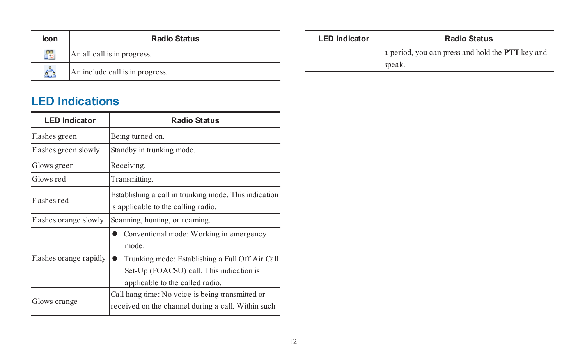| Icon | <b>Radio Status</b>             | <b>LED Indicator</b> | <b>Radio Status</b>                              |
|------|---------------------------------|----------------------|--------------------------------------------------|
| 83   | An all call is in progress.     |                      | a period, you can press and hold the PTT key and |
|      | An include call is in progress. |                      | speak.                                           |

# **LED Indications**

| <b>LED Indicator</b>   | <b>Radio Status</b>                                                                                                                                                               |  |  |
|------------------------|-----------------------------------------------------------------------------------------------------------------------------------------------------------------------------------|--|--|
| Flashes green          | Being turned on.                                                                                                                                                                  |  |  |
| Flashes green slowly   | Standby in trunking mode.                                                                                                                                                         |  |  |
| Glows green            | Receiving.                                                                                                                                                                        |  |  |
| Glows red              | Transmitting.                                                                                                                                                                     |  |  |
| Flashes red            | Establishing a call in trunking mode. This indication<br>is applicable to the calling radio.                                                                                      |  |  |
| Flashes orange slowly  | Scanning, hunting, or roaming.                                                                                                                                                    |  |  |
| Flashes orange rapidly | Conventional mode: Working in emergency<br>mode<br>Trunking mode: Establishing a Full Off Air Call<br>Set-Up (FOACSU) call. This indication is<br>applicable to the called radio. |  |  |
| Glows orange           | Call hang time: No voice is being transmitted or<br>received on the channel during a call. Within such                                                                            |  |  |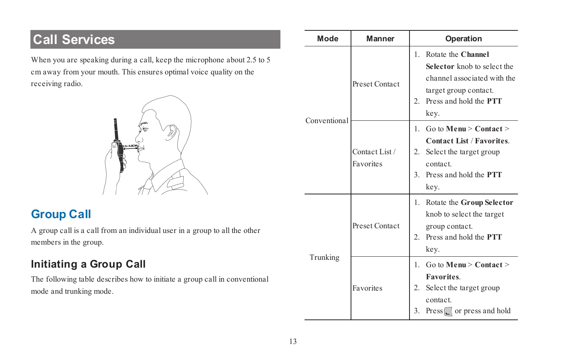# **Call Services**

When you are speaking during a call, keep the microphone about 2.5 to 5 cm away from your mouth. This ensures optimal voice quality on the receiving radio.



# <span id="page-16-0"></span>**Group Call**

A group call is a call from an individual user in a group to all the other members in the group.

# **Initiating a Group Call**

The following table describes how to initiate a group call in conventional mode and trunking mode.

| Mode         | Manner                      | Operation                                                                                                                                                                   |
|--------------|-----------------------------|-----------------------------------------------------------------------------------------------------------------------------------------------------------------------------|
| Conventional | Preset Contact              | Rotate the Channel<br>$\mathbf{1}$<br>Selector knob to select the<br>channel associated with the<br>target group contact.<br>Press and hold the PTT<br>$\mathbf{2}$<br>key. |
|              | Contact List /<br>Favorites | Go to Menu $>$ Contact $>$<br>$\mathbf{1}$<br>Contact List / Favorites<br>2.<br>Select the target group<br>contact<br>3 Press and hold the PTT<br>key.                      |
| Trunking     | Preset Contact              | Rotate the Group Selector<br>1.<br>knob to select the target<br>group contact.<br>Press and hold the <b>PTT</b><br>$\mathbf{2}$<br>key.                                     |
|              | Favorites                   | Go to <b>Menu</b> > <b>Context</b><br>1.<br><b>Favorites</b><br>2.<br>Select the target group<br>contact<br>3.<br>$Press \fbox$ or press and hold                           |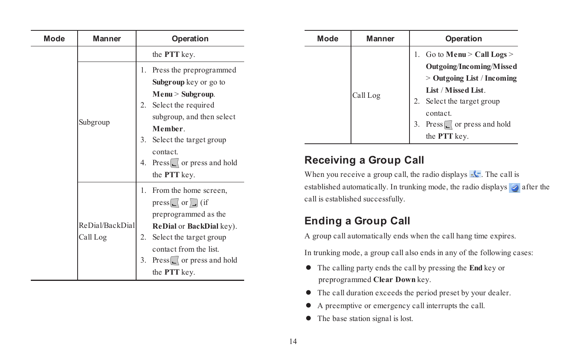| Mode | Manner          | Operation |                                |  |
|------|-----------------|-----------|--------------------------------|--|
|      |                 |           | the PTT key.                   |  |
|      |                 | 1.        | Press the preprogrammed        |  |
|      |                 |           | Subgroup key or go to          |  |
|      |                 |           | Menu > Subgroup.               |  |
|      |                 |           | 2. Select the required         |  |
|      |                 |           | subgroup, and then select      |  |
|      | Subgroup        |           | Member                         |  |
|      |                 | 3.        | Select the target group        |  |
|      |                 |           | contact                        |  |
|      |                 |           | 4. Press   or press and hold   |  |
|      |                 |           | the PTT key.                   |  |
|      |                 |           | 1. From the home screen,       |  |
|      |                 |           | $press$ [ or ] (if             |  |
|      |                 |           | preprogrammed as the           |  |
|      | ReDial/BackDial |           | ReDial or BackDial key).       |  |
|      | Call Log        | 2.        | Select the target group        |  |
|      |                 |           | contact from the list          |  |
|      |                 | 3.        | $Press \cup$ or press and hold |  |
|      |                 |           | the <b>PTT</b> key.            |  |

| Mode | <b>Manner</b> | Operation                                                                                                                                                                                                        |
|------|---------------|------------------------------------------------------------------------------------------------------------------------------------------------------------------------------------------------------------------|
|      | Call Log      | 1. Go to Menu > Call Logs ><br>Outgoing/Incoming/Missed<br>$>$ Outgoing List / Incoming<br>List / Missed List<br>Select the target group<br>contact<br>3. Press <sub>[c]</sub> or press and hold<br>the PTT key. |

### **Receiving a Group Call**

When you receive a group call, the radio displays  $\mathbb{R}^k$ . The call is established automatically. In trunking mode, the radio displays  $\Diamond$  after the call is established successfully.

### **Ending a Group Call**

A group call automatically ends when the call hang time expires.

In trunking mode, a group call also ends in any of the following cases:

- l The calling party ends the call by pressing the **End** key or preprogrammed **Clear Down** key.
- $\bullet$  The call duration exceeds the period preset by your dealer.
- l A preemptive or emergency call interrupts the call.
- The base station signal is lost.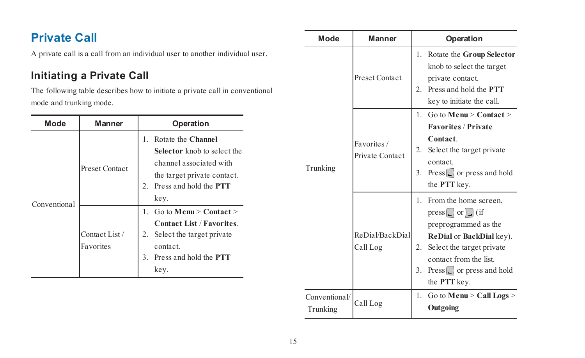# **Private Call**

A private call is a call from an individual user to another individual user.

### **Initiating a Private Call**

The following table describes how to initiate a private call in conventional mode and trunking mode.

| Mode         | Manner                      | Operation                                                                                                                                                                  |
|--------------|-----------------------------|----------------------------------------------------------------------------------------------------------------------------------------------------------------------------|
| Conventional | Preset Contact              | Rotate the Channel<br>1.<br>Selector knob to select the<br>channel associated with<br>the target private contact.<br>Press and hold the <b>PTT</b><br>$\mathbf{2}$<br>key. |
|              | Contact List /<br>Favorites | 1 $\div$ Go to Menu $>$ Contact $>$<br><b>Contact List / Favorites</b><br>Select the target private<br>2.<br>contact<br>Press and hold the <b>PTT</b><br>3<br>key.         |

| Mode                      | Manner                         | Operation                                                                                                                                                                                                                      |
|---------------------------|--------------------------------|--------------------------------------------------------------------------------------------------------------------------------------------------------------------------------------------------------------------------------|
|                           | Preset Contact                 | Rotate the Group Selector<br>1.<br>knob to select the target<br>private contact.<br>Press and hold the <b>PTT</b><br>2.<br>key to initiate the call.                                                                           |
| Trunking                  | Favorites /<br>Private Contact | 1 $\text{Go}$ to Menu $>$ Contact $>$<br><b>Favorites / Private</b><br>Contact<br>Select the target private<br>2.<br>contact<br>$Press \L($ or press and hold<br>3.<br>the PTT key.                                            |
|                           | ReDial/BackDial<br>Call Log    | 1. From the home screen,<br>press $\Box$ or $\Box$ (if<br>preprogrammed as the<br>ReDial or BackDial key).<br>2.<br>Select the target private<br>contact from the list<br>$Press \cup$ or press and hold<br>3.<br>the PTT key. |
| Conventional/<br>Trunking | Call Log                       | 1.<br>Go to Menu $>$ Call Logs $>$<br>Outgoing                                                                                                                                                                                 |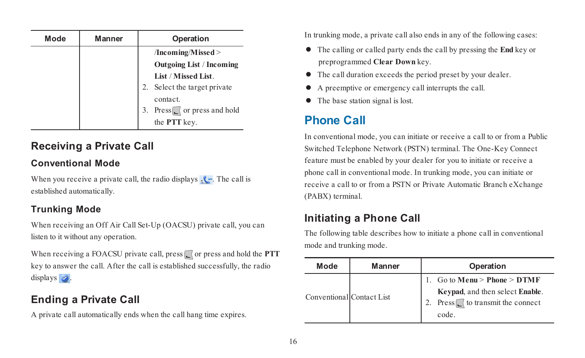| Mode | <b>Manner</b> | Operation                            |
|------|---------------|--------------------------------------|
|      |               | /Incoming/Missed>                    |
|      |               | <b>Outgoing List / Incoming</b>      |
|      |               | List / Missed List                   |
|      |               | 2. Select the target private         |
|      |               | contact                              |
|      |               | Press $\Box$ or press and hold<br>3. |
|      |               | the PTT key.                         |

### **Receiving a Private Call**

#### **Conventional Mode**

When you receive a private call, the radio displays  $\sqrt{\cdot}$ . The call is established automatically.

#### **Trunking Mode**

When receiving an Off Air Call Set-Up (OACSU) private call, you can listen to it without any operation.

When receiving a FOACSU private call, press  $\Box$  or press and hold the **PTT** key to answer the call. After the call is established successfully, the radio displays  $\triangleleft$ .

### **Ending a Private Call**

A private call automatically ends when the call hang time expires.

In trunking mode, a private call also ends in any of the following cases:

- l The calling or called party ends the call by pressing the **End** key or preprogrammed **Clear Down** key.
- $\bullet$  The call duration exceeds the period preset by your dealer.
- l A preemptive or emergency call interrupts the call.
- The base station signal is lost.

## **Phone Call**

In conventional mode, you can initiate or receive a call to or from a Public Switched Telephone Network (PSTN) terminal. The One-Key Connect feature must be enabled by your dealer for you to initiate or receive a phone call in conventional mode. In trunking mode, you can initiate or receive a call to or from a PSTN or Private Automatic Branch eXchange (PABX) terminal.

### **Initiating a Phone Call**

The following table describes how to initiate a phone call in conventional mode and trunking mode.

| Mode                      | Manner | Operation                                                                                                   |
|---------------------------|--------|-------------------------------------------------------------------------------------------------------------|
| Conventional Contact List |        | 1. Go to $Menu > Phone > DTMF$<br>Keypad, and then select Enable.<br>Press to transmit the connect<br>code. |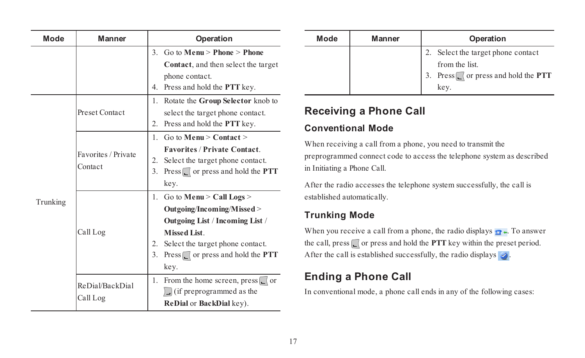| Mode     | Manner                         | Operation                                                                                                                                                                                                                  |  |  |
|----------|--------------------------------|----------------------------------------------------------------------------------------------------------------------------------------------------------------------------------------------------------------------------|--|--|
|          |                                | $Go to Menu > Phone > Phone$<br>$\overline{\mathbf{3}}$<br>Contact, and then select the target<br>phone contact.<br>4. Press and hold the <b>PTT</b> key.                                                                  |  |  |
|          | Preset Contact                 | 1. Rotate the Group Selector knob to<br>select the target phone contact.<br>2.<br>Press and hold the PTT key.                                                                                                              |  |  |
|          | Favorites / Private<br>Contact | Go to Menu $>$ Contact $>$<br>$\mathbf{1}$<br><b>Favorites / Private Contact</b><br>Select the target phone contact.<br>2.<br>3.<br>Press or press and hold the PTT<br>key.                                                |  |  |
| Trunking | Call Log                       | 1. Go to Menu > Call Logs ><br>Outgoing/Incoming/Missed><br>Outgoing List / Incoming List /<br><b>Missed List</b><br>Select the target phone contact.<br>2.<br>3.<br>Press $\Box$ or press and hold the <b>PTT</b><br>key. |  |  |
|          | ReDial/BackDial<br>Call Log    | From the home screen, press $\lfloor$ or<br>1.<br>$\Box$ (if preprogrammed as the<br>ReDial or BackDial key).                                                                                                              |  |  |

| Mode | Manner | Operation                                                                                                |
|------|--------|----------------------------------------------------------------------------------------------------------|
|      |        | 2. Select the target phone contact<br>from the list.<br>3. Press $\Box$ or press and hold the <b>PTT</b> |
|      |        | kev.                                                                                                     |

#### **Receiving a Phone Call**

#### **Conventional Mode**

When receiving a call from a phone, you need to transmit the preprogrammed connect code to access the telephone system as described in Initiating a Phone Call.

After the radio accesses the telephone system successfully, the call is established automatically.

#### **Trunking Mode**

When you receive a call from a phone, the radio displays  $\bullet$ . To answer the call, press  $\Box$  or press and hold the **PTT** key within the preset period. After the call is established successfully, the radio displays  $\triangle$ .

### **Ending a Phone Call**

In conventional mode, a phone call ends in any of the following cases: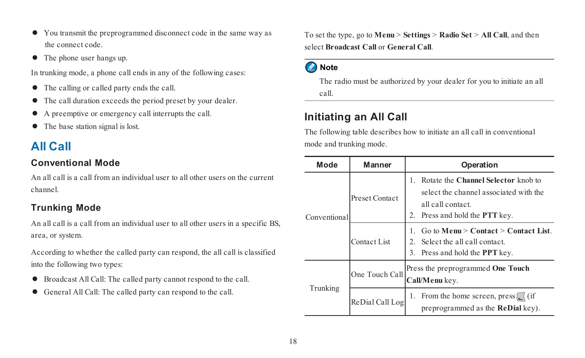- l You transmit the preprogrammed disconnect code in the same way as the connect code.
- The phone user hangs up.

In trunking mode, a phone call ends in any of the following cases:

- The calling or called party ends the call.
- $\bullet$  The call duration exceeds the period preset by your dealer.
- l A preemptive or emergency call interrupts the call.
- The base station signal is lost.

# **All Call**

#### **Conventional Mode**

An all call is a call from an individual user to all other users on the current channel.

#### **Trunking Mode**

An all call is a call from an individual user to all other users in a specific BS, area, or system.

According to whether the called party can respond, the all call is classified into the following two types:

- l Broadcast All Call: The called party cannot respond to the call.
- l General All Call: The called party can respond to the call.

To set the type, go to **Menu** > **Settings** > **Radio Set** > **All Call**, and then select **Broadcast Call** or **General Call**.

#### Note

The radio must be authorized by your dealer for you to initiate an all call.

#### **Initiating an All Call**

The following table describes how to initiate an all call in conventional mode and trunking mode.

| Mode         | Manner              | Operation                                                                                                                                        |
|--------------|---------------------|--------------------------------------------------------------------------------------------------------------------------------------------------|
| Conventional | Preset Contact      | Rotate the Channel Selector knob to<br>Ι.<br>select the channel associated with the<br>all call contact<br>2. Press and hold the <b>PTT</b> key. |
|              | <b>Contact List</b> | Go to Menu $>$ Contact $>$ Contact List.<br>Select the all call contact.<br>$\overline{2}$<br>3. Press and hold the PPT key.                     |
| Trunking     | One Touch Call      | Press the preprogrammed One Touch<br>Call/Menu key.                                                                                              |
|              | ReDial Call Log     | From the home screen, press $\lfloor$ (if<br>1.<br>preprogrammed as the ReDial key).                                                             |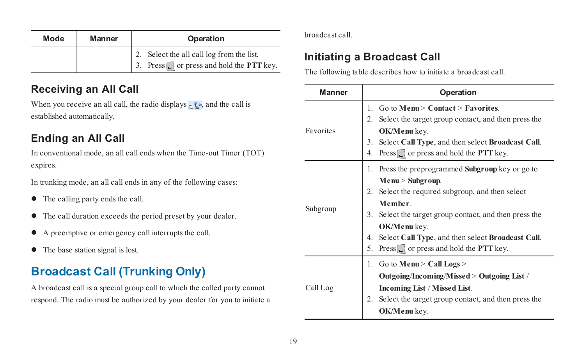| Mode | <b>Manner</b> | Operation                                             |
|------|---------------|-------------------------------------------------------|
|      |               | 2. Select the all call log from the list.             |
|      |               | 3. Press $\Box$ or press and hold the <b>PTT</b> key. |

#### **Receiving an All Call**

When you receive an all call, the radio displays  $\cdot$   $\cdot$  and the call is established automatically.

## **Ending an All Call**

In conventional mode, an all call ends when the Time-out Timer (TOT) expires.

In trunking mode, an all call ends in any of the following cases:

- $\bullet$  The calling party ends the call.
- $\bullet$  The call duration exceeds the period preset by your dealer.
- l A preemptive or emergency call interrupts the call.
- $\bullet$  The base station signal is lost.

# **Broadcast Call (Trunking Only)**

A broadcast call is a special group call to which the called party cannot respond. The radio must be authorized by your dealer for you to initiate a

#### broadcast call.

#### **Initiating a Broadcast Call**

The following table describes how to initiate a broadcast call.

| Manner    | Operation                                                                                                                                                                                                                                                                                                                             |
|-----------|---------------------------------------------------------------------------------------------------------------------------------------------------------------------------------------------------------------------------------------------------------------------------------------------------------------------------------------|
| Favorites | Go to Menu $>$ Contact $>$ Favorites<br>1.<br>2.<br>Select the target group contact, and then press the<br>OK/Menu key.<br>3.<br>Select Call Type, and then select Broadcast Call.<br>$Press \fbox{ or press}$ or press and hold the <b>PTT</b> key.<br>4                                                                             |
| Subgroup  | Press the preprogrammed <b>Subgroup</b> key or go to<br>1.<br>Menu > Subgroup.<br>Select the required subgroup, and then select<br>2.<br>Member<br>3.<br>Select the target group contact, and then press the<br>OK/Menu key.<br>Select Call Type, and then select Broadcast Call.<br>4.<br>Press or press and hold the PTT key.<br>5. |
| Call Log  | Go to Menu $>$ Call Logs $>$<br>1.<br>Outgoing/Incoming/Missed > Outgoing List /<br><b>Incoming List / Missed List.</b><br>2.<br>Select the target group contact, and then press the<br>OK/Menu key.                                                                                                                                  |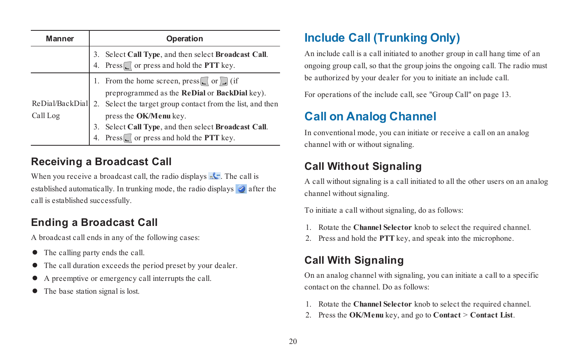| Manner                      | Operation |                                                                                                           |
|-----------------------------|-----------|-----------------------------------------------------------------------------------------------------------|
|                             | 3.        | Select Call Type, and then select Broadcast Call.<br>4. Press or press and hold the PTT key.              |
|                             |           | From the home screen, $press$ $\lfloor$ or $\rfloor$ (if<br>preprogrammed as the ReDial or BackDial key). |
| ReDial/BackDial<br>Call Log |           | 2. Select the target group contact from the list, and then<br>press the OK/Menu key.                      |
|                             | 3.        | Select Call Type, and then select Broadcast Call.<br>Press or press and hold the PTT key.                 |

#### **Receiving a Broadcast Call**

When you receive a broadcast call, the radio displays  $\mathbb{R}^{\mathbb{C}}$ . The call is established automatically. In trunking mode, the radio displays  $\triangle$  after the call is established successfully.

### **Ending a Broadcast Call**

A broadcast call ends in any of the following cases:

- The calling party ends the call.
- $\bullet$  The call duration exceeds the period preset by your dealer.
- l A preemptive or emergency call interrupts the call.
- The base station signal is lost.

# **Include Call (Trunking Only)**

An include call is a call initiated to another group in call hang time of an ongoing group call, so that the group joins the ongoing call. The radio must be authorized by your dealer for you to initiate an include call.

For operations of the include call, see "Group Call" on [page 13](#page-16-0).

# **Call on Analog Channel**

In conventional mode, you can initiate or receive a call on an analog channel with or without signaling.

## **Call Without Signaling**

A call without signaling is a call initiated to all the other users on an analog channel without signaling.

To initiate a call without signaling, do as follows:

- 1. Rotate the **Channel Selector** knob to select the required channel.
- 2. Press and hold the **PTT** key, and speak into the microphone.

## **Call With Signaling**

On an analog channel with signaling, you can initiate a call to a specific contact on the channel. Do as follows:

- 1. Rotate the **Channel Selector** knob to select the required channel.
- 2. Press the **OK/Menu** key, and go to **Contact** > **Contact List**.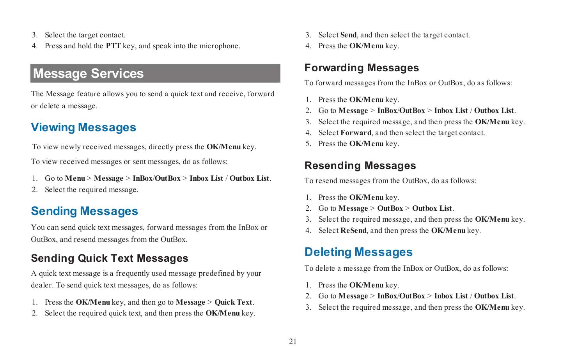- 3. Select the target contact.
- 4. Press and hold the **PTT** key, and speak into the microphone.

# **Message Services**

The Message feature allows you to send a quick text and receive, forward or delete a message.

# **Viewing Messages**

To view newly received messages, directly press the **OK/Menu** key.

To view received messages or sent messages, do as follows:

- 1. Go to **Menu** > **Message** > **InBox**/**OutBox** > **Inbox List** / **Outbox List**.
- 2. Select the required message.

# **Sending Messages**

You can send quick text messages, forward messages from the InBox or OutBox, and resend messages from the OutBox.

## **Sending Quick Text Messages**

A quick text message is a frequently used message predefined by your dealer. To send quick text messages, do as follows:

- 1. Press the **OK/Menu** key, and then go to **Message** > **Quick Text**.
- 2. Select the required quick text, and then press the **OK/Menu** key.
- 3. Select **Send**, and then select the target contact.
- 4. Press the **OK/Menu** key.

### **Forwarding Messages**

To forward messages from the InBox or OutBox, do as follows:

- 1. Press the **OK/Menu** key.
- 2. Go to **Message** > **InBox**/**OutBox** > **Inbox List** / **Outbox List**.
- 3. Select the required message, and then press the **OK/Menu** key.
- 4. Select **Forward**, and then select the target contact.
- 5. Press the **OK/Menu** key.

## **Resending Messages**

To resend messages from the OutBox, do as follows:

- 1. Press the **OK/Menu** key.
- 2. Go to **Message** > **OutBox** > **Outbox List**.
- 3. Select the required message, and then press the **OK/Menu** key.
- 4. Select **ReSend**, and then press the **OK/Menu** key.

# **Deleting Messages**

To delete a message from the InBox or OutBox, do as follows:

- 1. Press the **OK/Menu** key.
- 2. Go to **Message** > **InBox**/**OutBox** > **Inbox List** / **Outbox List**.
- 3. Select the required message, and then press the **OK/Menu** key.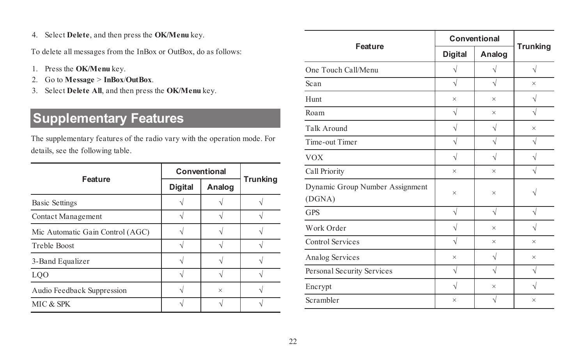4. Select **Delete**, and then press the **OK/Menu** key.

To delete all messages from the InBox or OutBox, do as follows:

- 1. Press the **OK/Menu** key.
- 2. Go to **Message** > **InBox**/**OutBox**.
- 3. Select **Delete All**, and then press the **OK/Menu** key.

# **Supplementary Features**

The supplementary features of the radio vary with the operation mode. For details, see the following table.

| Feature                          | Conventional |          |                 |
|----------------------------------|--------------|----------|-----------------|
|                                  | Digital      | Analog   | <b>Trunking</b> |
| <b>Basic Settings</b>            |              |          |                 |
| Contact Management               |              |          |                 |
| Mic Automatic Gain Control (AGC) |              |          |                 |
| <b>Treble Boost</b>              |              |          |                 |
| 3-Band Equalizer                 |              |          |                 |
| LOO                              |              |          |                 |
| Audio Feedback Suppression       |              | $\times$ |                 |
| MIC & SPK                        |              |          |                 |

| <b>Digital</b> | Analog    | <b>Trunking</b> |
|----------------|-----------|-----------------|
| ν              |           | V               |
| $\sqrt{}$      | $\sqrt{}$ | ×               |
| $\times$       | $\times$  | $\sqrt{}$       |
| $\sqrt{}$      | ×         | $\sqrt{}$       |
| $\sqrt{}$      | $\sqrt{}$ | $\times$        |
| ν              | Ν         | Ν               |
| $\sqrt{}$      | V         |                 |
| $\times$       | $\times$  |                 |
| $\times$       | $\times$  |                 |
| V              | $\sqrt{}$ | N               |
| V              | $\times$  |                 |
| $\sqrt{}$      | ×         | $\times$        |
| $\times$       | V         | $\times$        |
| $\sqrt{}$      | $\sqrt{}$ | $\sqrt{}$       |
| $\sqrt{}$      | $\times$  | $\sqrt{ }$      |
| $\times$       | V         | $\times$        |
|                |           | Conventional    |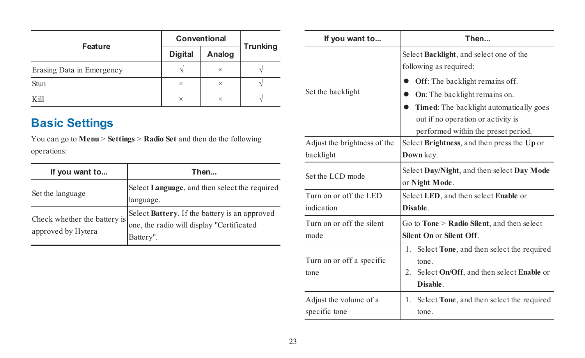| Feature                   | Conventional   |          |                 |
|---------------------------|----------------|----------|-----------------|
|                           | <b>Digital</b> | Analog   | <b>Trunking</b> |
| Erasing Data in Emergency |                | $\times$ |                 |
| Stun                      | $\times$       | $\times$ |                 |
| Kill                      | $\times$       | $\times$ |                 |

# <span id="page-26-0"></span>**Basic Settings**

You can go to **Menu** > **Settings** > **Radio Set** and then do the following operations:

| If you want to                                     | Then                                                                                                    |
|----------------------------------------------------|---------------------------------------------------------------------------------------------------------|
| Set the language                                   | Select Language, and then select the required<br>language.                                              |
| Check whether the battery is<br>approved by Hytera | Select Battery. If the battery is an approved<br>one, the radio will display "Certificated<br>Battery". |

| If you want to                          | Then                                                                                                                        |  |  |
|-----------------------------------------|-----------------------------------------------------------------------------------------------------------------------------|--|--|
|                                         | Select Backlight, and select one of the<br>following as required:                                                           |  |  |
| Set the backlight                       | Off: The backlight remains off.<br>On: The backlight remains on.                                                            |  |  |
|                                         | Timed: The backlight automatically goes<br>out if no operation or activity is<br>performed within the preset period.        |  |  |
| Adjust the brightness of the            | Select Brightness, and then press the Up or                                                                                 |  |  |
| backlight                               | Down key.                                                                                                                   |  |  |
| Set the LCD mode                        | Select Day/Night, and then select Day Mode<br>or Night Mode.                                                                |  |  |
| Turn on or off the LED<br>indication    | Select LED, and then select Enable or<br><b>Disable</b>                                                                     |  |  |
| Turn on or off the silent<br>mode       | Go to Tone > Radio Silent, and then select<br>Silent On or Silent Off                                                       |  |  |
| Turn on or off a specific<br>tone       | Select Tone, and then select the required<br>1.<br>tone<br>Select On/Off, and then select Enable or<br>2.<br><b>Disable</b> |  |  |
| Adjust the volume of a<br>specific tone | 1. Select <b>Tone</b> , and then select the required<br>tone                                                                |  |  |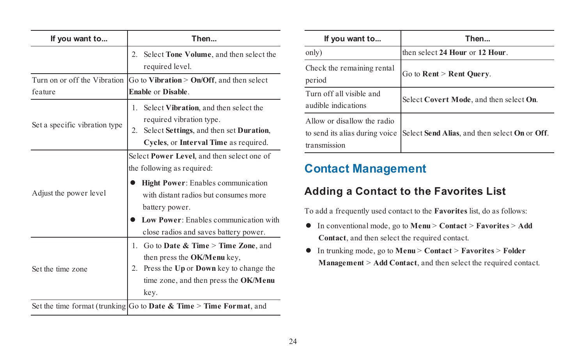| If you want to                                                     | Then                                                                                                                                                                                                                                                        |  |
|--------------------------------------------------------------------|-------------------------------------------------------------------------------------------------------------------------------------------------------------------------------------------------------------------------------------------------------------|--|
|                                                                    | 2. Select <b>Tone Volume</b> , and then select the<br>required level.                                                                                                                                                                                       |  |
| Turn on or off the Vibration<br>feature                            | Go to Vibration $>$ On/Off, and then select<br><b>Enable or Disable</b>                                                                                                                                                                                     |  |
| Set a specific vibration type                                      | 1. Select Vibration, and then select the<br>required vibration type.<br>2. Select Settings, and then set Duration,<br>Cycles, or Interval Time as required.                                                                                                 |  |
| Adjust the power level                                             | Select Power Level, and then select one of<br>the following as required:<br>Hight Power: Enables communication<br>with distant radios but consumes more<br>battery power.<br>Low Power: Enables communication with<br>close radios and saves battery power. |  |
| Set the time zone                                                  | 1. Go to Date $\&$ Time $>$ Time Zone, and<br>then press the OK/Menu key,<br>Press the Up or Down key to change the<br>2.<br>time zone, and then press the OK/Menu<br>kev.                                                                                  |  |
| Set the time format (trunking Go to Date & Time > Time Format, and |                                                                                                                                                                                                                                                             |  |

| If you want to                                                                | Then                                          |
|-------------------------------------------------------------------------------|-----------------------------------------------|
| only)                                                                         | then select 24 Hour or 12 Hour.               |
| Check the remaining rental<br>period                                          | Go to Rent > Rent Query.                      |
| Turn off all visible and<br>audible indications                               | Select Covert Mode, and then select On.       |
| Allow or disallow the radio<br>to send its alias during voice<br>transmission | Select Send Alias, and then select On or Off. |

## <span id="page-27-0"></span>**Contact Management**

#### **Adding a Contact to the Favorites List**

To add a frequently used contact to the **Favorites** list, do as follows:

- l In conventional mode, go to **Menu** > **Contact** > **Favorites** > **Add Contact**, and then select the required contact.
- l In trunking mode, go to **Menu** > **Contact** > **Favorites** > **Folder Management** > **Add Contact**, and then select the required contact.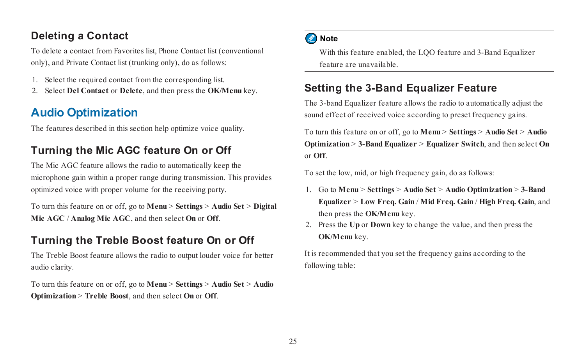### **Deleting a Contact**

To delete a contact from Favorites list, Phone Contact list (conventional only), and Private Contact list (trunking only), do as follows:

- 1. Select the required contact from the corresponding list.
- <span id="page-28-0"></span>2. Select **Del Contact** or **Delete**, and then press the **OK/Menu** key.

# **Audio Optimization**

The features described in this section help optimize voice quality.

### **Turning the Mic AGC feature On or Off**

The Mic AGC feature allows the radio to automatically keep the microphone gain within a proper range during transmission. This provides optimized voice with proper volume for the receiving party.

To turn this feature on or off, go to **Menu** > **Settings** > **Audio Set** > **Digital Mic AGC** / **Analog Mic AGC**, and then select **On** or **Off**.

### **Turning the Treble Boost feature On or Off**

The Treble Boost feature allows the radio to output louder voice for better audio clarity.

To turn this feature on or off, go to **Menu** > **Settings** > **Audio Set** > **Audio Optimization** > **Treble Boost**, and then select **On** or **Off**.

#### Note

With this feature enabled, the LOO feature and 3-Band Equalizer feature are unavailable.

#### **Setting the 3-Band Equalizer Feature**

The 3-band Equalizer feature allows the radio to automatically adjust the sound effect of received voice according to preset frequency gains.

To turn this feature on or off, go to **Menu** > **Settings** > **Audio Set** > **Audio Optimization** > **3-Band Equalizer** > **Equalizer Switch**, and then select **On** or **Off**.

To set the low, mid, or high frequency gain, do as follows:

- 1. Go to **Menu** > **Settings** > **Audio Set** > **Audio Optimization** > **3-Band Equalizer** > **Low Freq. Gain** / **Mid Freq. Gain** / **High Freq. Gain**, and then press the **OK/Menu** key.
- 2. Press the **Up** or **Down** key to change the value, and then press the **OK/Menu** key.

It is recommended that you set the frequency gains according to the following table: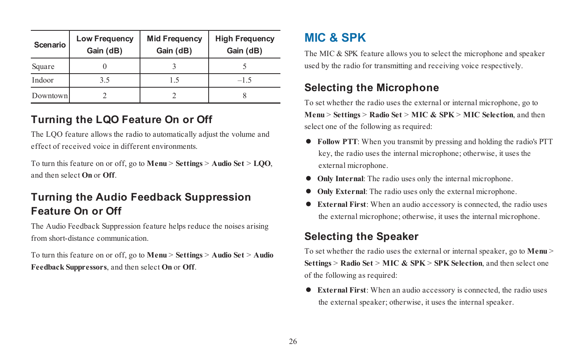| Scenario | <b>Low Frequency</b><br>Gain (dB) | <b>Mid Frequency</b><br>Gain (dB) | <b>High Frequency</b><br>Gain (dB) |
|----------|-----------------------------------|-----------------------------------|------------------------------------|
| Square   |                                   |                                   |                                    |
| Indoor   | 3.5                               | ۱.                                | $-1.5$                             |
| Downtown |                                   |                                   |                                    |

### **Turning the LQO Feature On or Off**

The LQO feature allows the radio to automatically adjust the volume and effect of received voice in different environments.

To turn this feature on or off, go to **Menu** > **Settings** > **Audio Set** > **LQO**, and then select **On** or **Off**.

### **Turning the Audio Feedback Suppression Feature On or Off**

The Audio Feedback Suppression feature helps reduce the noises arising from short-distance communication.

To turn this feature on or off, go to **Menu** > **Settings** > **Audio Set** > **Audio Feedback Suppressors**, and then select **On** or **Off**.

# <span id="page-29-0"></span>**MIC & SPK**

The MIC & SPK feature allows you to select the microphone and speaker used by the radio for transmitting and receiving voice respectively.

#### **Selecting the Microphone**

To set whether the radio uses the external or internal microphone, go to **Menu** > **Settings** > **Radio Set** > **MIC & SPK** > **MIC Selection**, and then select one of the following as required:

- l **Follow PTT**: When you transmit by pressing and holding the radio's PTT key, the radio uses the internal microphone; otherwise, it uses the external microphone.
- **Only Internal:** The radio uses only the internal microphone.
- **Only External:** The radio uses only the external microphone.
- l **External First**: When an audio accessory is connected, the radio uses the external microphone; otherwise, it uses the internal microphone.

### **Selecting the Speaker**

To set whether the radio uses the external or internal speaker, go to **Menu** > **Settings** > **Radio Set** > **MIC & SPK** > **SPK Selection**, and then select one of the following as required:

l **External First**: When an audio accessory is connected, the radio uses the external speaker; otherwise, it uses the internal speaker.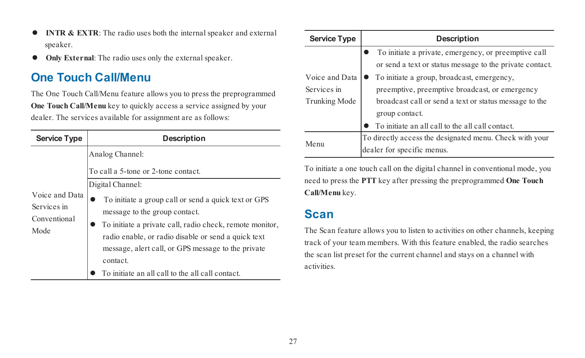- **INTR & EXTR:** The radio uses both the internal speaker and external speaker.
- <span id="page-30-0"></span> $\bullet$  **Only External**: The radio uses only the external speaker.

## **One Touch Call/Menu**

The One Touch Call/Menu feature allows you to press the preprogrammed **One Touch Call/Menu** key to quickly access a service assigned by your dealer. The services available for assignment are as follows:

| <b>Service Type</b>                                   | Description                                                                                                                                                                                                                                                                                                                                        |  |
|-------------------------------------------------------|----------------------------------------------------------------------------------------------------------------------------------------------------------------------------------------------------------------------------------------------------------------------------------------------------------------------------------------------------|--|
|                                                       | Analog Channel:<br>To call a 5-tone or 2-tone contact.                                                                                                                                                                                                                                                                                             |  |
| Voice and Data<br>Services in<br>Conventional<br>Mode | Digital Channel:<br>To initiate a group call or send a quick text or GPS<br>message to the group contact.<br>To initiate a private call, radio check, remote monitor,<br>radio enable, or radio disable or send a quick text<br>message, alert call, or GPS message to the private<br>contact.<br>To initiate an all call to the all call contact. |  |

| Service Type                                          | Description                                                                                                                                            |  |
|-------------------------------------------------------|--------------------------------------------------------------------------------------------------------------------------------------------------------|--|
|                                                       | To initiate a private, emergency, or preemptive call<br>or send a text or status message to the private contact.                                       |  |
| Voice and Data<br>Services in<br><b>Trunking Mode</b> | To initiate a group, broadcast, emergency,<br>preemptive, preemptive broadcast, or emergency<br>broadcast call or send a text or status message to the |  |
|                                                       | group contact.<br>To initiate an all call to the all call contact.                                                                                     |  |
| Menu                                                  | To directly access the designated menu. Check with your<br>dealer for specific menus.                                                                  |  |

To initiate a one touch call on the digital channel in conventional mode, you need to press the **PTT** key after pressing the preprogrammed **One Touch Call/Menu** key.

#### <span id="page-30-1"></span>**Scan**

The Scan feature allows you to listen to activities on other channels, keeping track of your team members. With this feature enabled, the radio searches the scan list preset for the current channel and stays on a channel with activities.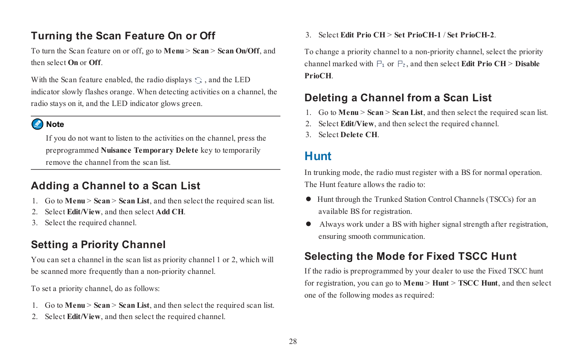### **Turning the Scan Feature On or Off**

To turn the Scan feature on or off, go to **Menu** > **Scan** > **Scan On/Off**, and then select **On** or **Off**.

With the Scan feature enabled, the radio displays  $\odot$ , and the LED indicator slowly flashes orange. When detecting activities on a channel, the radio stays on it, and the LED indicator glows green.

#### Note

If you do not want to listen to the activities on the channel, press the preprogrammed **Nuisance Temporary Delete** key to temporarily remove the channel from the scan list.

### **Adding a Channel to a Scan List**

- 1. Go to **Menu** > **Scan** > **Scan List**, and then select the required scan list.
- 2. Select **Edit/View**, and then select **Add CH**.
- 3. Select the required channel.

## **Setting a Priority Channel**

You can set a channel in the scan list as priority channel 1 or 2, which will be scanned more frequently than a non-priority channel.

To set a priority channel, do as follows:

- 1. Go to **Menu** > **Scan** > **Scan List**, and then select the required scan list.
- 2. Select **Edit/View**, and then select the required channel.

3. Select **Edit Prio CH** > **Set PrioCH-1** / **Set PrioCH-2**.

To change a priority channel to a non-priority channel, select the priority channel marked with  $\mathbb{P}_1$  or  $\mathbb{P}_2$ , and then select **Edit Prio CH** > **Disable PrioCH**.

### **Deleting a Channel from a Scan List**

- 1. Go to **Menu** > **Scan** > **Scan List**, and then select the required scan list.
- 2. Select **Edit/View**, and then select the required channel.
- <span id="page-31-0"></span>3. Select **Delete CH**.

## **Hunt**

In trunking mode, the radio must register with a BS for normal operation. The Hunt feature allows the radio to:

- $\bullet$  Hunt through the Trunked Station Control Channels (TSCCs) for an available BS for registration.
- l Always work under a BS with higher signal strength after registration, ensuring smooth communication.

### **Selecting the Mode for Fixed TSCC Hunt**

If the radio is preprogrammed by your dealer to use the Fixed TSCC hunt for registration, you can go to **Menu** > **Hunt** > **TSCC Hunt**, and then select one of the following modes as required: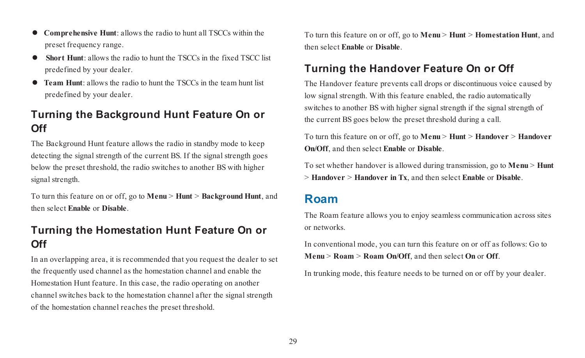- l **Comprehensive Hunt**: allows the radio to hunt all TSCCs within the preset frequency range.
- **Short Hunt**: allows the radio to hunt the TSCCs in the fixed TSCC list predefined by your dealer.
- **Team Hunt**: allows the radio to hunt the TSCCs in the team hunt list predefined by your dealer.

#### **Turning the Background Hunt Feature On or Off**

The Background Hunt feature allows the radio in standby mode to keep detecting the signal strength of the current BS. If the signal strength goes below the preset threshold, the radio switches to another BS with higher signal strength.

To turn this feature on or off, go to **Menu** > **Hunt** > **Background Hunt**, and then select **Enable** or **Disable**.

#### **Turning the Homestation Hunt Feature On or Off**

In an overlapping area, it is recommended that you request the dealer to set the frequently used channel as the homestation channel and enable the Homestation Hunt feature. In this case, the radio operating on another channel switches back to the homestation channel after the signal strength of the homestation channel reaches the preset threshold.

To turn this feature on or off, go to **Menu** > **Hunt** > **Homestation Hunt**, and then select **Enable** or **Disable**.

#### **Turning the Handover Feature On or Off**

The Handover feature prevents call drops or discontinuous voice caused by low signal strength. With this feature enabled, the radio automatically switches to another BS with higher signal strength if the signal strength of the current BS goes below the preset threshold during a call.

To turn this feature on or off, go to **Menu** > **Hunt** > **Handover** > **Handover On/Off**, and then select **Enable** or **Disable**.

<span id="page-32-0"></span>To set whether handover is allowed during transmission, go to **Menu** > **Hunt** > **Handover** > **Handover in Tx**, and then select **Enable** or **Disable**.

### **Roam**

The Roam feature allows you to enjoy seamless communication across sites or networks.

In conventional mode, you can turn this feature on or off as follows: Go to **Menu** > **Roam** > **Roam On/Off**, and then select **On** or **Off**.

In trunking mode, this feature needs to be turned on or off by your dealer.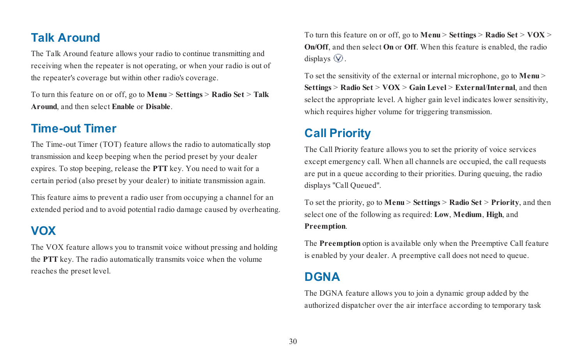### <span id="page-33-0"></span>**Talk Around**

The Talk Around feature allows your radio to continue transmitting and receiving when the repeater is not operating, or when your radio is out of the repeater's coverage but within other radio's coverage.

<span id="page-33-1"></span>To turn this feature on or off, go to **Menu** > **Settings** > **Radio Set** > **Talk Around**, and then select **Enable** or **Disable**.

#### **Time-out Timer**

The Time-out Timer (TOT) feature allows the radio to automatically stop transmission and keep beeping when the period preset by your dealer expires. To stop beeping, release the **PTT** key. You need to wait for a certain period (also preset by your dealer) to initiate transmission again.

<span id="page-33-2"></span>This feature aims to prevent a radio user from occupying a channel for an extended period and to avoid potential radio damage caused by overheating.

# **VOX**

The VOX feature allows you to transmit voice without pressing and holding the **PTT** key. The radio automatically transmits voice when the volume reaches the preset level.

To turn this feature on or off, go to **Menu** > **Settings** > **Radio Set** > **VOX** > **On/Off**, and then select **On** or **Off**. When this feature is enabled, the radio displays  $\mathcal{D}$ .

To set the sensitivity of the external or internal microphone, go to **Menu** > **Settings** > **Radio Set** > **VOX** > **Gain Level** > **External**/**Internal**, and then select the appropriate level. A higher gain level indicates lower sensitivity, which requires higher volume for triggering transmission.

## <span id="page-33-3"></span>**Call Priority**

The Call Priority feature allows you to set the priority of voice services except emergency call. When all channels are occupied, the call requests are put in a queue according to their priorities. During queuing, the radio displays "Call Queued".

To set the priority, go to **Menu** > **Settings** > **Radio Set** > **Priority**, and then select one of the following as required: **Low**, **Medium**, **High**, and **Preemption**.

<span id="page-33-4"></span>The **Preemption** option is available only when the Preemptive Call feature is enabled by your dealer. A preemptive call does not need to queue.

## **DGNA**

The DGNA feature allows you to join a dynamic group added by the authorized dispatcher over the air interface according to temporary task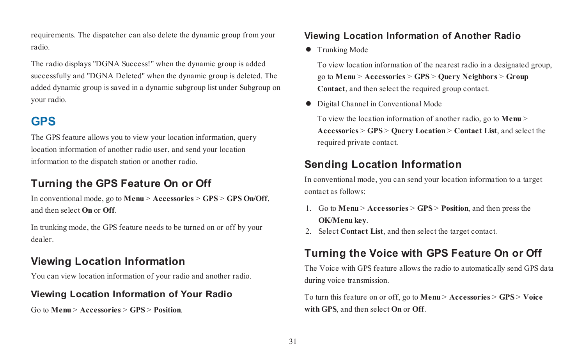requirements. The dispatcher can also delete the dynamic group from your radio.

The radio displays "DGNA Success!" when the dynamic group is added successfully and "DGNA Deleted" when the dynamic group is deleted. The added dynamic group is saved in a dynamic subgroup list under Subgroup on your radio.

# <span id="page-34-0"></span>**GPS**

The GPS feature allows you to view your location information, query location information of another radio user, and send your location information to the dispatch station or another radio.

# **Turning the GPS Feature On or Off**

In conventional mode, go to **Menu** > **Accessories** > **GPS** > **GPS On/Off**, and then select **On** or **Off**.

In trunking mode, the GPS feature needs to be turned on or off by your dealer.

## **Viewing Location Information**

You can view location information of your radio and another radio.

#### **Viewing Location Information of Your Radio**

Go to **Menu** > **Accessories** > **GPS** > **Position**.

#### **Viewing Location Information of Another Radio**

 $\bullet$  Trunking Mode

To view location information of the nearest radio in a designated group, go to **Menu** > **Accessories** > **GPS** > **Query Neighbors** > **Group Contact**, and then select the required group contact.

 $\bullet$  Digital Channel in Conventional Mode

To view the location information of another radio, go to **Menu** > **Accessories** > **GPS** > **Query Location** > **Contact List**, and select the required private contact.

### **Sending Location Information**

In conventional mode, you can send your location information to a target contact as follows:

- 1. Go to **Menu** > **Accessories** > **GPS** > **Position**, and then press the **OK/Menu key**.
- 2. Select **Contact List**, and then select the target contact.

## **Turning the Voice with GPS Feature On or Off**

The Voice with GPS feature allows the radio to automatically send GPS data during voice transmission.

To turn this feature on or off, go to **Menu** > **Accessories** > **GPS** > **Voice with GPS**, and then select **On** or **Off**.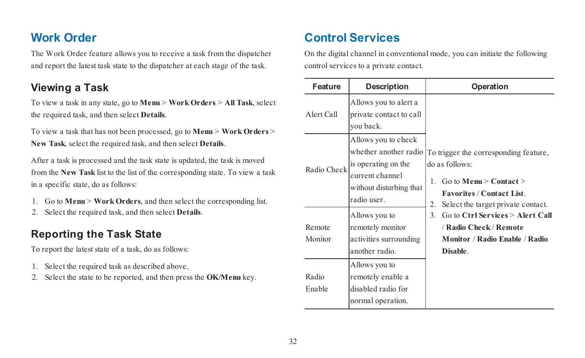# <span id="page-35-0"></span>**Work Order**

The Work Order feature allows you to receive a task from the dispatcher and report the latest task state to the dispatcher at each stage of the task.

#### **Viewing a Task**

To view a task in any state, go to **Menu** > **Work Orders** > **All Task**, select the required task, and then select **Details**.

To view a task that has not been processed, go to **Menu** > **Work Orders** > **New Task**, select the required task, and then select **Details**.

After a task is processed and the task state is updated, the task is moved from the **New Task** list to the list of the corresponding state. To view a task in a specific state, do as follows:

- 1. Go to **Menu** > **Work Orders**, and then select the corresponding list.
- 2. Select the required task, and then select **Details**.

### **Reporting the Task State**

To report the latest state of a task, do as follows:

- 1. Select the required task as described above.
- 2. Select the state to be reported, and then press the **OK/Menu** key.

# <span id="page-35-1"></span>**Control Services**

On the digital channel in conventional mode, you can initiate the following control services to a private contact.

| Feature           | Description                                                                                                                     | Operation                                                                                                                                                                                                                                                                                                   |
|-------------------|---------------------------------------------------------------------------------------------------------------------------------|-------------------------------------------------------------------------------------------------------------------------------------------------------------------------------------------------------------------------------------------------------------------------------------------------------------|
| Alert Call        | Allows you to alert a<br>private contact to call<br>you back.                                                                   |                                                                                                                                                                                                                                                                                                             |
| Radio Check       | Allows you to check<br>whether another radio<br>is operating on the<br>current channel<br>without disturbing that<br>radio user | To trigger the corresponding feature.<br>do as follows:<br>Go to Menu $>$ Contact $>$<br>$\mathbf{1}$<br><b>Favorites / Contact List</b><br>2.<br>Select the target private contact.<br>3<br>Go to Ctrl Services > Alert Call<br>/ Radio Check / Remote<br>Monitor / Radio Enable / Radio<br><b>Disable</b> |
| Remote<br>Monitor | Allows you to<br>remotely monitor<br>activities surrounding<br>another radio.<br>Allows you to                                  |                                                                                                                                                                                                                                                                                                             |
| Radio<br>Enable   | remotely enable a<br>disabled radio for<br>normal operation.                                                                    |                                                                                                                                                                                                                                                                                                             |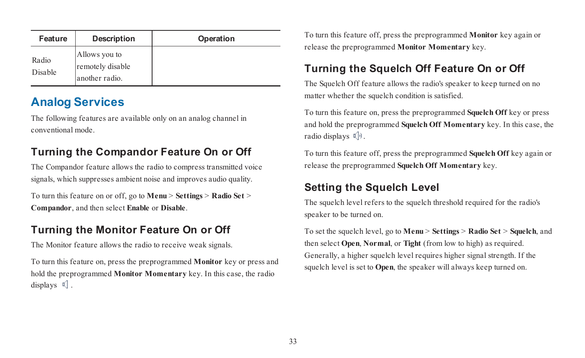| Feature          | Description                                         | Operation |
|------------------|-----------------------------------------------------|-----------|
| Radio<br>Disable | Allows you to<br>remotely disable<br>another radio. |           |

# <span id="page-36-0"></span>**Analog Services**

The following features are available only on an analog channel in conventional mode.

## **Turning the Compandor Feature On or Off**

The Compandor feature allows the radio to compress transmitted voice signals, which suppresses ambient noise and improves audio quality.

To turn this feature on or off, go to **Menu** > **Settings** > **Radio Set** > **Compandor**, and then select **Enable** or **Disable**.

### **Turning the Monitor Feature On or Off**

The Monitor feature allows the radio to receive weak signals.

To turn this feature on, press the preprogrammed **Monitor** key or press and hold the preprogrammed **Monitor Momentary** key. In this case, the radio displays  $\mathbb{Q}$ .

To turn this feature off, press the preprogrammed **Monitor** key again or release the preprogrammed **Monitor Momentary** key.

## **Turning the Squelch Off Feature On or Off**

The Squelch Off feature allows the radio's speaker to keep turned on no matter whether the squelch condition is satisfied.

To turn this feature on, press the preprogrammed **Squelch Off** key or press and hold the preprogrammed **Squelch Off Momentary** key. In this case, the radio displays  $\mathbb{C}[0]$ .

To turn this feature off, press the preprogrammed **Squelch Off** key again or release the preprogrammed **Squelch Off Momentary** key.

#### **Setting the Squelch Level**

The squelch level refers to the squelch threshold required for the radio's speaker to be turned on.

To set the squelch level, go to **Menu** > **Settings** > **Radio Set** > **Squelch**, and then select **Open**, **Normal**, or **Tight** (from low to high) as required. Generally, a higher squelch level requires higher signal strength. If the squelch level is set to **Open**, the speaker will always keep turned on.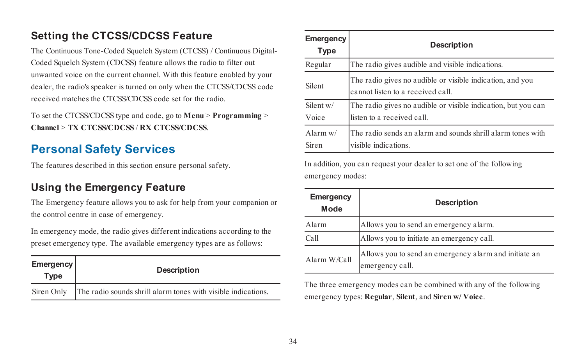### **Setting the CTCSS/CDCSS Feature**

The Continuous Tone-Coded Squelch System (CTCSS) / Continuous Digital-Coded Squelch System (CDCSS) feature allows the radio to filter out unwanted voice on the current channel. With this feature enabled by your dealer, the radio's speaker is turned on only when the CTCSS/CDCSS code received matches the CTCSS/CDCSS code set for the radio.

<span id="page-37-0"></span>To set the CTCSS/CDCSS type and code, go to **Menu** > **Programming** > **Channel** > **TX CTCSS/CDCSS** / **RX CTCSS/CDCSS**.

# **Personal Safety Services**

The features described in this section ensure personal safety.

### **Using the Emergency Feature**

The Emergency feature allows you to ask for help from your companion or the control centre in case of emergency.

In emergency mode, the radio gives different indications according to the preset emergency type. The available emergency types are as follows:

| Emergency<br>Type | <b>Description</b>                                            |  |
|-------------------|---------------------------------------------------------------|--|
| Siren Only        | The radio sounds shrill alarm tones with visible indications. |  |

| Emergency<br>Type   | Description                                                                                    |  |
|---------------------|------------------------------------------------------------------------------------------------|--|
| Regular             | The radio gives audible and visible indications.                                               |  |
| Silent              | The radio gives no audible or visible indication, and you<br>cannot listen to a received call. |  |
| Silent w/<br>Voice  | The radio gives no audible or visible indication, but you can<br>listen to a received call     |  |
| Alarm $w/$<br>Siren | The radio sends an alarm and sounds shrill alarm tones with<br>visible indications             |  |

In addition, you can request your dealer to set one of the following emergency modes:

| Emergency<br>Mode | Description                                                              |  |
|-------------------|--------------------------------------------------------------------------|--|
| Alarm             | Allows you to send an emergency alarm.                                   |  |
| Call              | Allows you to initiate an emergency call.                                |  |
| Alarm W/Call      | Allows you to send an emergency alarm and initiate an<br>emergency call. |  |

The three emergency modes can be combined with any of the following emergency types: **Regular**, **Silent**, and **Siren w/ Voice**.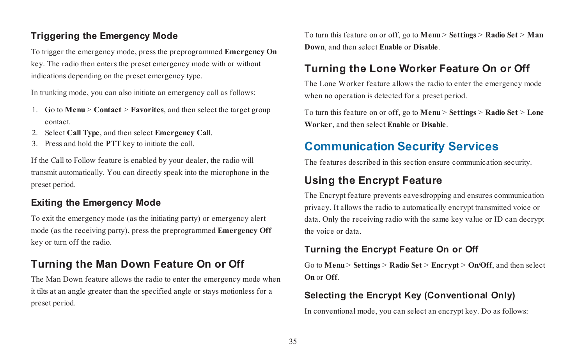#### **Triggering the Emergency Mode**

To trigger the emergency mode, press the preprogrammed **Emergency On** key. The radio then enters the preset emergency mode with or without indications depending on the preset emergency type.

In trunking mode, you can also initiate an emergency call as follows:

- 1. Go to **Menu** > **Contact** > **Favorites**, and then select the target group contact.
- 2. Select **Call Type**, and then select **Emergency Call**.
- 3. Press and hold the **PTT** key to initiate the call.

If the Call to Follow feature is enabled by your dealer, the radio will transmit automatically. You can directly speak into the microphone in the preset period.

#### **Exiting the Emergency Mode**

To exit the emergency mode (as the initiating party) or emergency alert mode (as the receiving party), press the preprogrammed **Emergency Off** key or turn off the radio.

#### **Turning the Man Down Feature On or Off**

The Man Down feature allows the radio to enter the emergency mode when it tilts at an angle greater than the specified angle or stays motionless for a preset period.

To turn this feature on or off, go to **Menu** > **Settings** > **Radio Set** > **Man Down**, and then select **Enable** or **Disable**.

#### **Turning the Lone Worker Feature On or Off**

The Lone Worker feature allows the radio to enter the emergency mode when no operation is detected for a preset period.

<span id="page-38-0"></span>To turn this feature on or off, go to **Menu** > **Settings** > **Radio Set** > **Lone Worker**, and then select **Enable** or **Disable**.

## **Communication Security Services**

The features described in this section ensure communication security.

### **Using the Encrypt Feature**

The Encrypt feature prevents eavesdropping and ensures communication privacy. It allows the radio to automatically encrypt transmitted voice or data. Only the receiving radio with the same key value or ID can decrypt the voice or data.

#### **Turning the Encrypt Feature On or Off**

Go to **Menu** > **Settings** > **Radio Set** > **Encrypt** > **On/Off**, and then select **On** or **Off**.

#### **Selecting the Encrypt Key (Conventional Only)**

In conventional mode, you can select an encrypt key. Do as follows: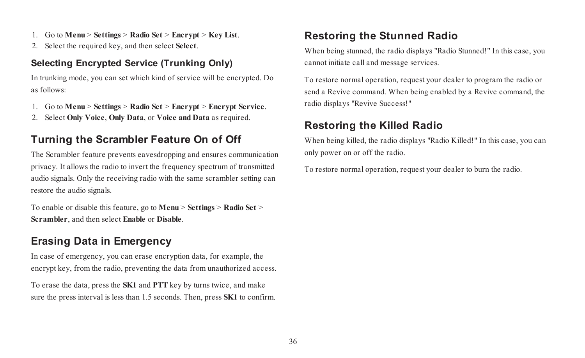- 1. Go to **Menu** > **Settings** > **Radio Set** > **Encrypt** > **Key List**.
- 2. Select the required key, and then select **Select**.

#### **Selecting Encrypted Service (Trunking Only)**

In trunking mode, you can set which kind of service will be encrypted. Do as follows:

- 1. Go to **Menu** > **Settings** > **Radio Set** > **Encrypt** > **Encrypt Service**.
- 2. Select **Only Voice**, **Only Data**, or **Voice and Data** as required.

#### **Turning the Scrambler Feature On of Off**

The Scrambler feature prevents eavesdropping and ensures communication privacy. It allows the radio to invert the frequency spectrum of transmitted audio signals. Only the receiving radio with the same scrambler setting can restore the audio signals.

To enable or disable this feature, go to **Menu** > **Settings** > **Radio Set** > **Scrambler**, and then select **Enable** or **Disable**.

### **Erasing Data in Emergency**

In case of emergency, you can erase encryption data, for example, the encrypt key, from the radio, preventing the data from unauthorized access.

To erase the data, press the **SK1** and **PTT** key by turns twice, and make sure the press interval is less than 1.5 seconds. Then, press **SK1** to confirm.

### **Restoring the Stunned Radio**

When being stunned, the radio displays "Radio Stunned!" In this case, you cannot initiate call and message services.

To restore normal operation, request your dealer to program the radio or send a Revive command. When being enabled by a Revive command, the radio displays "Revive Success!"

#### **Restoring the Killed Radio**

When being killed, the radio displays "Radio Killed!" In this case, you can only power on or off the radio.

To restore normal operation, request your dealer to burn the radio.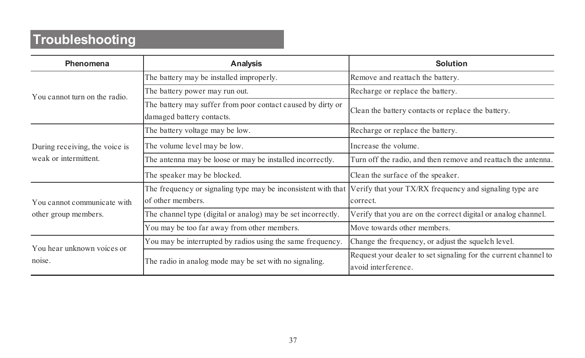# <span id="page-40-0"></span>**Troubleshooting**

| Phenomena                                               | Analysis                                                                                 | Solution                                                                               |
|---------------------------------------------------------|------------------------------------------------------------------------------------------|----------------------------------------------------------------------------------------|
| You cannot turn on the radio                            | The battery may be installed improperly.                                                 | Remove and reattach the battery.                                                       |
|                                                         | The battery power may run out.                                                           | Recharge or replace the battery.                                                       |
|                                                         | The battery may suffer from poor contact caused by dirty or<br>damaged battery contacts. | Clean the battery contacts or replace the battery.                                     |
|                                                         | The battery voltage may be low.                                                          | Recharge or replace the battery.                                                       |
| During receiving, the voice is<br>weak or intermittent. | The volume level may be low.                                                             | Increase the volume.                                                                   |
|                                                         | The antenna may be loose or may be installed incorrectly.                                | Turn off the radio, and then remove and reattach the antenna.                          |
|                                                         | The speaker may be blocked.                                                              | Clean the surface of the speaker.                                                      |
| You cannot communicate with<br>other group members.     | The frequency or signaling type may be inconsistent with that<br>of other members        | Verify that your TX/RX frequency and signaling type are<br>correct                     |
|                                                         | The channel type (digital or analog) may be set incorrectly.                             | Verify that you are on the correct digital or analog channel.                          |
|                                                         | You may be too far away from other members.                                              | Move towards other members.                                                            |
| You hear unknown voices or<br>noise                     | You may be interrupted by radios using the same frequency.                               | Change the frequency, or adjust the squelch level.                                     |
|                                                         | The radio in analog mode may be set with no signaling.                                   | Request your dealer to set signaling for the current channel to<br>avoid interference. |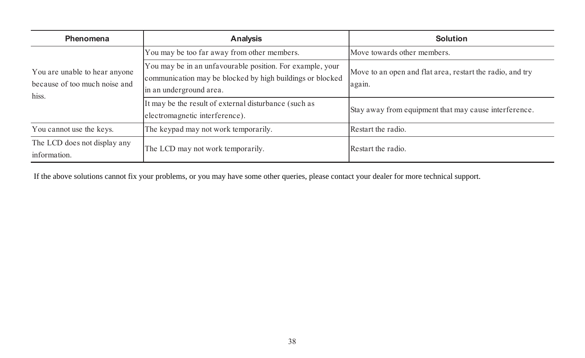| Phenomena                                                               | Analysis                                                                                                                                          | Solution                                                            |
|-------------------------------------------------------------------------|---------------------------------------------------------------------------------------------------------------------------------------------------|---------------------------------------------------------------------|
| You are unable to hear anyone<br>because of too much noise and<br>hiss. | You may be too far away from other members.                                                                                                       | Move towards other members.                                         |
|                                                                         | You may be in an unfavourable position. For example, your<br>communication may be blocked by high buildings or blocked<br>in an underground area. | Move to an open and flat area, restart the radio, and try<br>again. |
|                                                                         | It may be the result of external disturbance (such as<br>electromagnetic interference).                                                           | Stay away from equipment that may cause interference.               |
| You cannot use the keys.                                                | The keypad may not work temporarily.                                                                                                              | Restart the radio.                                                  |
| The LCD does not display any<br>information.                            | The LCD may not work temporarily.                                                                                                                 | Restart the radio                                                   |

If the above solutions cannot fix your problems, or you may have some other queries, please contact your dealer for more technical support.<br>
38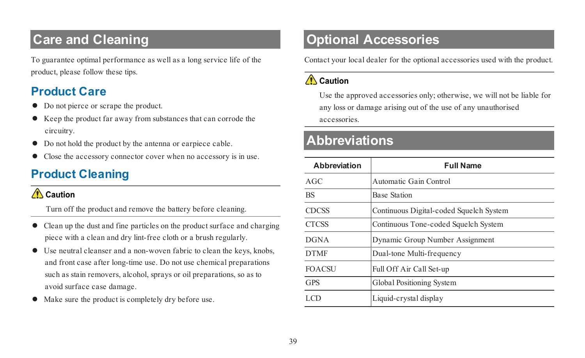# <span id="page-42-0"></span>**Care and Cleaning**

<span id="page-42-1"></span>To guarantee optimal performance as well as a long service life of the product, please follow these tips.

## **Product Care**

- Do not pierce or scrape the product.
- l Keep the product far away from substances that can corrode the circuitry.
- $\bullet$  Do not hold the product by the antenna or earpiece cable.
- <span id="page-42-2"></span> $\bullet$  Close the accessory connector cover when no accessory is in use.

# **Product Cleaning**

#### $\bigwedge$  Caution

Turn off the product and remove the battery before cleaning.

- l Clean up the dust and fine particles on the product surface and charging piece with a clean and dry lint-free cloth or a brush regularly.
- $\bullet$  Use neutral cleanser and a non-woven fabric to clean the keys, knobs, and front case after long-time use. Do not use chemical preparations such as stain removers, alcohol, sprays or oil preparations, so as to avoid surface case damage.
- Make sure the product is completely dry before use.

# <span id="page-42-3"></span>**Optional Accessories**

Contact your local dealer for the optional accessories used with the product.

#### $\bigwedge$  Caution

Use the approved accessories only; otherwise, we will not be liable for any loss or damage arising out of the use of any unauthorised accessories.

# <span id="page-42-4"></span>**Abbreviations**

| Abbreviation  | <b>Full Name</b>                        |
|---------------|-----------------------------------------|
| AGC           | Automatic Gain Control                  |
| <b>BS</b>     | <b>Base Station</b>                     |
| <b>CDCSS</b>  | Continuous Digital-coded Squelch System |
| <b>CTCSS</b>  | Continuous Tone-coded Squelch System    |
| <b>DGNA</b>   | Dynamic Group Number Assignment         |
| <b>DTMF</b>   | Dual-tone Multi-frequency               |
| <b>FOACSU</b> | Full Off Air Call Set-up                |
| <b>GPS</b>    | Global Positioning System               |
| LCD.          | Liquid-crystal display                  |